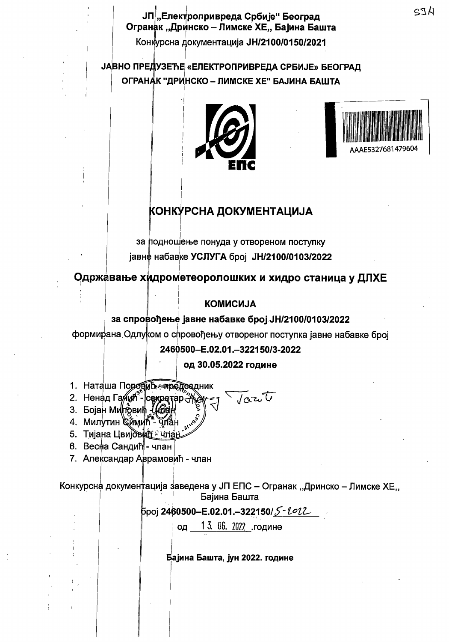ЈП|"Електропривреда Србије" Београд Огранак "Дринско – Лимске ХЕ,, Бајина Башта

Конкурсна документација ЈН/2100/0150/2021

**ЈАВНО ПРЕДУЗЕЋЕ «ЕЛЕКТРОПРИВРЕДА СРБИЈЕ» БЕОГРАД** ОГРАНАК "ДРИНСКО - ЛИМСКЕ ХЕ" БАЈИНА БАШТА





# КОНКУРСНА ДОКУМЕНТАЦИЈА

за подношење понуда у отвореном поступку јавне набавке УСЛУГА број JH/2100/0103/2022

Одржавање хидрометеоролошких и хидро станица у ДЛХЕ

### **KOMMCMJA**

### за спровођење јавне набавке број ЈН/2100/0103/2022

формирана Одлуком о спровођењу отвореног поступка јавне набавке број

2460500-E.02.01.-322150/3-2022

од 30.05.2022 године

- 1. Наташа Породить пиредредник
- Jort 2. Ненад Гаиин<sup>3</sup>- сехретар-
- 3. Бојан Миловић 163
- 4. Милутин Симић Члан
- 5. Тијана Цвијовий члан
- 6. Весна Сандић∥- члан
- 7. Александар Аврамовић члан

Конкурсна документација заведена у ЈП ЕПС – Огранак "Дринско – Лимске ХЕ" Бајина Башта

13. 06. 2022 године ОД

Бајина Башта, јун 2022. године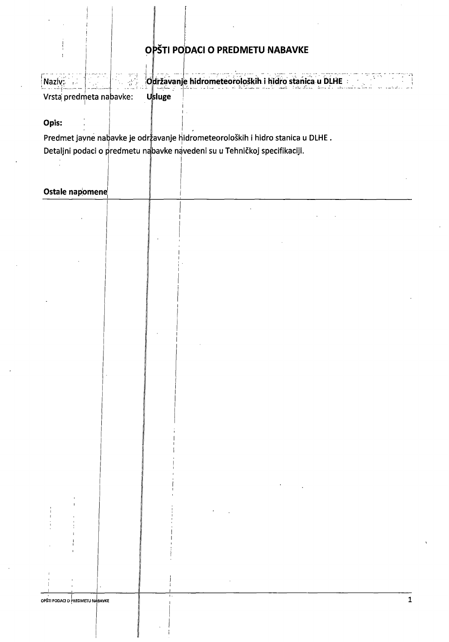## OPŠTI PODACI O PREDMETU NABAVKE

Naziv; 6 raziv, 6 raziv, 6 raziv, 6 raziv, 6 raziv, 6 raziv, 6 raziv, 6 raziv, 6 raziv, 6 raziv, 7 raziv, 7 ra Vrsta predmeta nabavke: Usluge

Opis:

Predmet jayne nabavke je održavanje hidrometeoroloških i hidro stanica u DLHE. Detaljni podaci o predmetu nabavke navedeni su u Tehničkoj specifikaciji.

#### Ostale napomene

|        | OPŠTI PODACI O PREDMETU NABAVKE |        | $\mathbf{L}$ .              |                                       |                                                                              |                                                                                                                                                                              |                                                                                                                                                                                                                                         |                               | $\mathbf 1$ |
|--------|---------------------------------|--------|-----------------------------|---------------------------------------|------------------------------------------------------------------------------|------------------------------------------------------------------------------------------------------------------------------------------------------------------------------|-----------------------------------------------------------------------------------------------------------------------------------------------------------------------------------------------------------------------------------------|-------------------------------|-------------|
|        |                                 |        |                             |                                       |                                                                              |                                                                                                                                                                              |                                                                                                                                                                                                                                         |                               |             |
|        |                                 |        |                             |                                       |                                                                              |                                                                                                                                                                              |                                                                                                                                                                                                                                         |                               |             |
|        |                                 |        |                             |                                       |                                                                              |                                                                                                                                                                              |                                                                                                                                                                                                                                         |                               |             |
|        |                                 |        |                             |                                       |                                                                              |                                                                                                                                                                              |                                                                                                                                                                                                                                         |                               |             |
| $\sim$ | $\mathbf{I}$                    |        |                             |                                       |                                                                              |                                                                                                                                                                              |                                                                                                                                                                                                                                         |                               |             |
|        |                                 |        |                             |                                       |                                                                              |                                                                                                                                                                              |                                                                                                                                                                                                                                         |                               |             |
|        |                                 |        |                             |                                       |                                                                              |                                                                                                                                                                              |                                                                                                                                                                                                                                         |                               |             |
|        |                                 |        |                             |                                       |                                                                              |                                                                                                                                                                              |                                                                                                                                                                                                                                         |                               |             |
|        |                                 |        |                             |                                       |                                                                              | $\mathcal{L}^{\mathcal{L}}(\mathcal{L}^{\mathcal{L}})$ and $\mathcal{L}^{\mathcal{L}}(\mathcal{L}^{\mathcal{L}})$ and $\mathcal{L}^{\mathcal{L}}(\mathcal{L}^{\mathcal{L}})$ |                                                                                                                                                                                                                                         |                               |             |
|        |                                 |        |                             |                                       |                                                                              |                                                                                                                                                                              |                                                                                                                                                                                                                                         |                               |             |
|        |                                 |        |                             |                                       |                                                                              |                                                                                                                                                                              | $\mathcal{L}^{\mathcal{L}}(\mathcal{L}^{\mathcal{L}})$ and $\mathcal{L}^{\mathcal{L}}(\mathcal{L}^{\mathcal{L}})$ and $\mathcal{L}^{\mathcal{L}}(\mathcal{L}^{\mathcal{L}})$ and $\mathcal{L}^{\mathcal{L}}(\mathcal{L}^{\mathcal{L}})$ |                               |             |
|        |                                 |        |                             |                                       |                                                                              |                                                                                                                                                                              |                                                                                                                                                                                                                                         |                               |             |
|        |                                 |        |                             |                                       |                                                                              |                                                                                                                                                                              |                                                                                                                                                                                                                                         |                               |             |
|        |                                 |        |                             |                                       |                                                                              |                                                                                                                                                                              |                                                                                                                                                                                                                                         |                               |             |
|        |                                 |        |                             |                                       |                                                                              |                                                                                                                                                                              |                                                                                                                                                                                                                                         |                               |             |
|        |                                 |        |                             | <b>Contract</b>                       |                                                                              |                                                                                                                                                                              |                                                                                                                                                                                                                                         |                               |             |
|        |                                 |        |                             |                                       |                                                                              |                                                                                                                                                                              |                                                                                                                                                                                                                                         |                               |             |
|        |                                 |        |                             |                                       |                                                                              |                                                                                                                                                                              |                                                                                                                                                                                                                                         |                               |             |
|        |                                 |        |                             |                                       |                                                                              |                                                                                                                                                                              |                                                                                                                                                                                                                                         |                               |             |
|        |                                 | $\sim$ |                             |                                       |                                                                              |                                                                                                                                                                              |                                                                                                                                                                                                                                         |                               |             |
|        |                                 |        |                             |                                       |                                                                              |                                                                                                                                                                              |                                                                                                                                                                                                                                         |                               |             |
|        |                                 |        |                             |                                       |                                                                              |                                                                                                                                                                              |                                                                                                                                                                                                                                         |                               |             |
|        |                                 |        |                             | $\mathbf{1}$                          | $\mathcal{O}(\mathcal{O}(n^2))$ . The set of $\mathcal{O}(\mathcal{O}(n^2))$ |                                                                                                                                                                              |                                                                                                                                                                                                                                         |                               |             |
|        |                                 |        | $\sim$ $\sim$ $\sim$ $\sim$ |                                       |                                                                              |                                                                                                                                                                              |                                                                                                                                                                                                                                         |                               |             |
|        |                                 |        |                             |                                       |                                                                              |                                                                                                                                                                              |                                                                                                                                                                                                                                         |                               |             |
|        |                                 |        |                             |                                       |                                                                              |                                                                                                                                                                              |                                                                                                                                                                                                                                         |                               |             |
|        |                                 |        |                             |                                       |                                                                              |                                                                                                                                                                              |                                                                                                                                                                                                                                         |                               |             |
|        |                                 |        |                             |                                       |                                                                              |                                                                                                                                                                              |                                                                                                                                                                                                                                         |                               |             |
|        |                                 |        |                             |                                       |                                                                              |                                                                                                                                                                              |                                                                                                                                                                                                                                         |                               |             |
|        | 1999 - Jan                      |        |                             |                                       |                                                                              |                                                                                                                                                                              |                                                                                                                                                                                                                                         |                               |             |
|        |                                 |        |                             | <b>The Control</b><br><b>Contract</b> |                                                                              |                                                                                                                                                                              | the contract of the contract of the contract of                                                                                                                                                                                         |                               |             |
|        |                                 |        | $\sim$ $\sim$               |                                       |                                                                              |                                                                                                                                                                              |                                                                                                                                                                                                                                         |                               |             |
|        | $\alpha$                        |        |                             |                                       |                                                                              |                                                                                                                                                                              |                                                                                                                                                                                                                                         | and the state of the state of |             |
|        |                                 |        |                             |                                       |                                                                              | $\cdot$                                                                                                                                                                      |                                                                                                                                                                                                                                         |                               |             |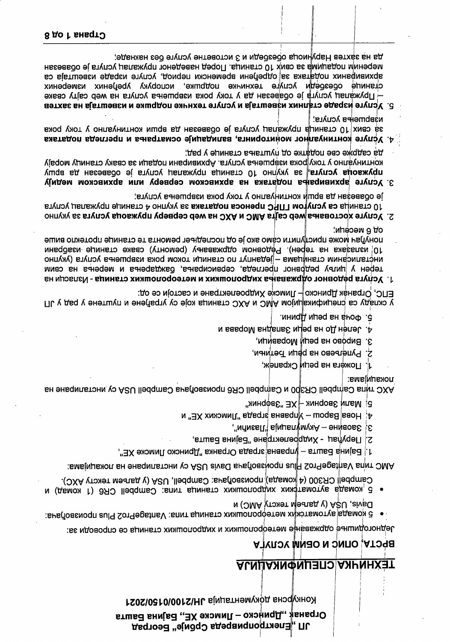# Ограна≰ "Дринско – Лимске ХЕ" Бајина Башта ЛЛ "Електропривреда Србије" Београд

Конкурсна документација ЈН/2100/0150/2021

# <u>АСМИАЯМФИЦЯ СПЕЦИФИКАЦИЈА</u>

## **BPCTA, ONNC N OENM YCNYLA**

Једногодишње одржавање метеоролошких и хидролошких станица се спроводи за:

- Davis, USA (y даљеји тексту AMC) и  $\bullet$  5 комада аутоматских метефролошких станица типа: VantagePro2 Plus произвођача:
- Campbell CR300 (4 komaga) произвођача: Campbell, USA (у даљем тексту AXC). • 5 комада аутоматфких хидролошких станица типа: Campbell CR6 (1 комад) и

AMC типа VantagePro2 Plus произвођача Davis USA су инсталиране на локацијама:

- $1\,$ , Бајина Башта управна зграда Огранка "Дринско Лимске ХЕ",
- . втшва внијаетектр,ане "Бајина Башта,
- $3a$ овине Акум $\psi$ лација "Лазићи", ंध
- $A'$  Нова $|$ Варош Управна аграда "Лимских ХЕ" и
- 

покапијама: AXC типа Самрры СR3/D и Самрры СR6 произвођача Сатрон USA су инсталиране на

- 1. Пожега на реци Скрапеж,
- 2. Рупељево на реци Ђетињи,
- 3. Bирово на реци Моравици,
- и вавqоМ вндепаЄ ицеq вн оД непа С.
- 5. Фоча на репи Дрини.

ЕПС, Огранак Дринско⊩ Лимске Хидроелектране и састоји се од: у складу са спецификајцијом АМС и АХС станица које су уграђене и пуштене у рад у ЈП

- от в месепи. понуђач може приступити само ако је од последњег ремонта те станице протекло више 10 излазака на терен). Редовном одржавању (ремонту) сваке станице изабрани инсталисаним станицама - једанпут по станици током рока извршења услуга (укупно терен у циљу редрвног прегледа, сервисирања, баждарења и мерења на свим 1. Услуга редовног одржавања хидролошких и метеоролошких станица - Изласци на
- је обавезан да врши континуално у току рока извршења услуга; 10 станица са услугом ГПРС преноса података за укупно 4 станице пружалац услуга 2. Услуге хостовања мер сајта АМС и АХС на web серверу пружаоца услуга за укупно
- да садрже све податке од пуштања станице у рад, уједом унону рока мавршења услуга. Архивирани подаци за сваку станицу морају пружаоца услуга, за укупно 10 станица пружалац услуга је обавезан да вршу 3. Услуге архивирања података на архивском серверу или архивском медију
- извршења услуга; за свих/10 станица пружалац услуга је обавезан да врши континуално у току рока 4. Услуге континуалног мониторинга, валидације осматрања и прегледа података
- да на захтев Наруниоца обезбеди и 3 истоветне услуге без накнаде; мереним подацима за свих 10 станица. Поред наведеног пружалац услуга је обавезан архивираних података за одређени временски период, услуге израде извештаја са станице обезбеди услуге техничке подршке, испоруку уређених измерених  $-$  Пружалац услуга је обавезан да у току рока извршења услуга на мер сајту сваке  $5.$  Услуге израде сталних извештаја и услуге технчке подршке и извештаја на захтев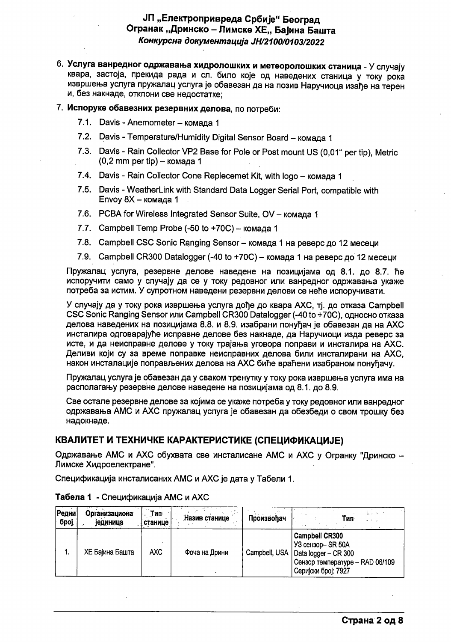### **ЈП "Електропривреда Србије" Београд** Огранак "Дринско – Лимске ХЕ., Бајина Башта Конкурсна документација ЈН/2100/0103/2022

- 6. Услуга ванредног одржавања хидролошких и метеоролошких станица У случају квара, застоја, прекида рада и сл. било које од наведених станица у току рока извршења услуга пружалац услуга је обавезан да на позив Наручиоца изађе на терен и, без накнаде, отклони све недостатке:
- 7. Испоруке обавезних резервних делова, по потреби:
	- 7.1. Davis Anemometer комада 1
	- 7.2. Davis Temperature/Humidity Digital Sensor Board комада 1
	- 7.3. Davis Rain Collector VP2 Base for Pole or Post mount US (0,01" per tip), Metric  $(0,2 \text{ mm per tip}) -$ комада 1
	- 7.4. Davis Rain Collector Cone Replecemet Kit, with logo комада 1
	- 7.5. Davis WeatherLink with Standard Data Logger Serial Port, compatible with Envov  $8X -$ комада 1
	- 7.6. PCBA for Wireless Integrated Sensor Suite, OV комада 1
	- 7.7. Campbell Temp Probe (-50 to +70С) комада 1
	- 7.8. Campbell CSC Sonic Ranging Sensor комада 1 на реверс до 12 месеци
	- 7.9. Campbell CR300 Datalogger (-40 to +70C) комада 1 на реверс до 12 месеци

Пружалац услуга, резервне делове наведене на позицијама од 8.1. до 8.7. ће испоручити само у случају да се у току редовног или ванредног одржавања укаже потреба за истим. У супротном наведени резервни делови се неће испоручивати.

У случају да у току рока извршења услуга дође до квара АХС, тј. до отказа Campbell CSC Sonic Ranging Sensor или Campbell CR300 Datalogger (-40 to +70С), односно отказа делова наведених на позицијама 8.8. и 8.9. изабрани понуђач је обавезан да на АХС инсталира одговарајуће исправне делове без накнаде, да Наручиоци изда реверс за исте, и да неисправне делове у току трајања уговора поправи и инсталира на АХС. Деливи који су за време поправке неисправних делова били инсталирани на АХС. након инсталације поправљених делова на АХС биће враћени изабраном понуђачу.

Пружалац услуга је обавезан да у сваком тренутку у току рока извршења услуга има на располагању резервне делове наведене на позицијама од 8.1. до 8.9.

Све остале резервне делове за којима се укаже потреба у току редовног или ванредног одржавања AMC и AXC пружалац услуга је обавезан да обезбеди о свом трошку без надокнаде.

### КВАЛИТЕТ И ТЕХНИЧКЕ КАРАКТЕРИСТИКЕ (СПЕЦИФИКАЦИЈЕ)

Одржавање AMC и AXC обухвата све инсталисане AMC и AXC у Огранку "Дринско -Лимске Хидроелектране".

Спецификација инсталисаних АМС и АХС је дата у Табели 1.

| Редни <br>број | Организациона<br>јединица | Тип<br>станице | Назив станице | Произвођач    | Тип∙<br><b>SALE OF</b>                                                                                                      |
|----------------|---------------------------|----------------|---------------|---------------|-----------------------------------------------------------------------------------------------------------------------------|
| 1.             | ХЕ Бајина Башта           | AXC.           | Фоча на Дрини | Campbell, USA | <b>Campbell CR300</b><br>УЗ сензор-SR 50A<br>Data logger - CR 300<br>Сензор температуре - RAD 06/109<br>Серијски број: 7927 |

#### Табела 1 - Спецификација АМС и АХС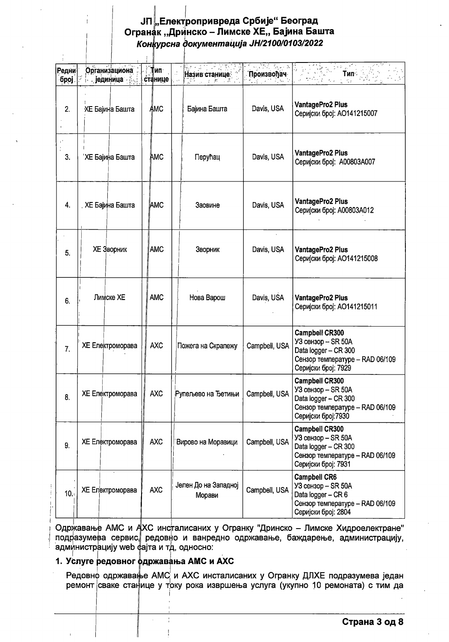## ЈП "Електропривреда Србије" Београд Огранак "Дринско – Лимске ХЕ,, Бајина Башта Конкурсна документација ЈН/2100/0103/2022

| Редни<br>број | Организациона<br>јединица<br>$\ddot{\phantom{1}}$ | Тип∙<br>станице | Назив станице<br>ちっこう あ        | Произвођач    | Тип<br>Ň.                                                                                                                     |
|---------------|---------------------------------------------------|-----------------|--------------------------------|---------------|-------------------------------------------------------------------------------------------------------------------------------|
| 2.            | <b>XE Бајина Башта</b>                            | Ѧмс             | Бајина Башта                   | Davis, USA    | VantagePro2 Plus<br>Серијски број: АО141215007                                                                                |
| 3.            | 'ХЕ Бајина Башта                                  | ∖АМС            | Перућац                        | Davis, USA    | VantagePro2 Plus<br>Серијски број: А00803А007                                                                                 |
| 4.            | . ХЕ Бајина Башта                                 | <b>AMC</b>      | Заовине                        | Davis, USA    | VantagePro2 Plus<br>Серијски број: А00803А012                                                                                 |
| 5.            | <b>XE Зворник</b>                                 | <b>AMC</b>      | Зворник                        | Davis, USA    | VantagePro2 Plus<br>Серијски број: АО141215008                                                                                |
| 6.            | Лимске ХЕ                                         | <b>AMC</b>      | Нова Варош                     | Davis, USA    | VantagePro2 Plus<br>Серијски број: АО141215011                                                                                |
| 7.            | ХЕ Електроморава                                  | <b>AXC</b>      | Пожега на Скрапежу             | Campbell, USA | <b>Campbell CR300</b><br>УЗ сензор - SR 50A<br>Data logger - CR 300<br>Сензор температуре - RAD 06/109<br>Серијски број: 7929 |
| 8.            | ХЕ Електроморава                                  | <b>AXC</b>      | Рупељево на Ђетињи             | Campbell, USA | <b>Campbell CR300</b><br>УЗ сензор - SR 50A<br>Data logger - CR 300<br>Сензор температуре - RAD 06/109<br>Серијски број: 7930 |
| 9.            | ХЕ Електроморава                                  | <b>AXC</b>      | Вирово на Моравици             | Campbell, USA | <b>Campbell CR300</b><br>УЗ сензор - SR 50A<br>Data logger - CR 300<br>Сензор температуре - RAD 06/109<br>Серијски број: 7931 |
| 10.           | ХЕ Електроморава                                  | <b>AXC</b>      | Јелен До на Западној<br>Морави | Campbell, USA | <b>Campbell CR6</b><br>УЗ сензор - SR 50A<br>Data logger - CR 6<br>Сензор температуре - RAD 06/109<br>Серијски број: 2804     |

Одржавање АМС и АХС инсталисаних у Огранку "Дринско - Лимске Хидроелектране" подразумева сервис, редовно и ванредно одржавање, баждарење, администрацију, администрацију web фајта и тд, односно:

#### 1. Услуге редовног фдржавања АМС и АХС

Редовно одржавање АМС и АХС инсталисаних у Огранку ДЛХЕ подразумева један ремонт сваке станице у току рока извршења услуга (укупно 10 ремоната) с тим да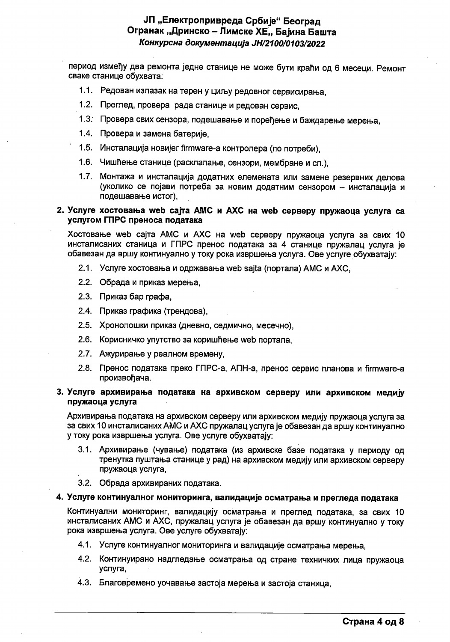### ЈП "Електропривреда Србије" Београд Огранак "Дринско – Лимске ХЕ,, Бајина Башта Конкурсна документација ЈН/2100/0103/2022

период између два ремонта једне станице не може бути краћи од 6 месеци. Ремонт сваке станице обухвата:

- 1.1. Редован излазак на терен у циљу редовног сервисирања,
- 1.2. Преглед, провера рада станице и редован сервис,
- 1.3. Провера свих сензора, подешавање и поређење и баждарење мерења,
- 1.4. Провера и замена батерије,
- 1.5. Инсталација новијег firmware-а контролера (по потреби),
- 1.6. Чишћење станице (расклапање, сензори, мембране и сл.),
- 1.7. Монтажа и инсталација додатних елемената или замене резервних делова (уколико се појави потреба за новим додатним сензором - инсталација и подешавање истог).

#### 2. Услуге хостовања web сајта АМС и АХС на web серверу пружаоца услуга са услугом ГПРС преноса података

Хостовање web сајта АМС и АХС на web серверу пружаоца услуга за свих 10 инсталисаних станица и ГПРС пренос података за 4 станице пружалац услуга је обавезан да вршу континуално у току рока извршења услуга. Ове услуге обухватају:

- 2.1. Услуге хостовања и одржавања web sajta (портала) AMC и AXC.
- 2.2. Обрада и приказ мерења,
- 2.3. Приказ бар графа,
- 2.4. Приказ графика (трендова),
- 2.5. Хронолошки приказ (дневно, седмично, месечно),
- 2.6. Корисничко упутство за коришћење web портала.
- 2.7. Ажурирање у реалном времену,
- 2.8. Пренос података преко ГПРС-а, АПН-а, пренос сервис планова и firmware-а произвођача.

#### 3. Услуге архивирања података на архивском серверу или архивском медију пружаоца услуга

Архивирања података на архивском серверу или архивском медију пружаоца услуга за за свих 10 инсталисаних АМС и АХС пружалац услуга је обавезан да вршу континуално у току рока извршења услуга. Ове услуге обухватају:

- 3.1. Архивирање (чување) података (из архивске базе података у периоду од тренутка пуштања станице у рад) на архивском медију или архивском серверу пружаоца услуга,
- 3.2. Обрада архивираних података.

#### 4. Услуге континуалног мониторинга, валидације осматрања и прегледа података

Континуални мониторинг, валидацију осматрања и преглед података, за свих 10 инсталисаних AMC и AXC, пружалац услуга је обавезан да вршу континуално у току рока извршења услуга. Ове услуге обухватају:

- 4.1. Услуге континуалног мониторинга и валидације осматрања мерења,
- 4.2. Континуирано надгледање осматрања од стране техничких лица пружаоца услуга,
- 4.3. Благовремено уочавање застоја мерења и застоја станица,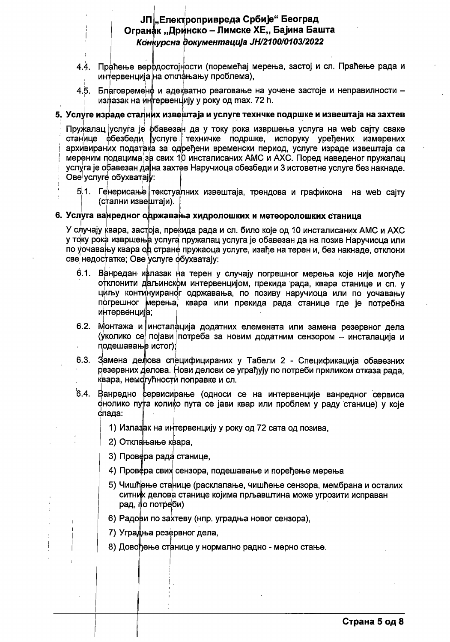### ЈП "Електропривреда Србије" Београд Огранак "Дринско - Лимске ХЕ,, Бајина Башта Конкурсна документација ЈН/2100/0103/2022

- Праћење верфдостојности (поремећај мерења, застој и сл. Праћење рада и 44. интервенција на отклањању проблема),
- 4.5. Благовременф и адекватно реаговање на уочене застоје и неправилности излазак на интервенцију у року од max. 72 h.

#### 5. Услуге израде сталних извештаја и услуге технчке подршке и извештаја на захтев

Пружалац услуга је фбавезан да у току рока извршења услуга на web сајту сваке станице фбезбеди услуге техничке подршке, испоруку уређених измерених архивираних података за одређени временски период, услуге израде извештаја са мереним подацима за свих 10 инсталисаних АМС и АХС. Поред наведеног пружалац услуга је обавезан да на захтев Наручиоца обезбеди и 3 истоветне услуге без накнаде. Ове услуге обухватају:

5.1. Генерисање текстуалних извештаја, трендова и графикона на web сајту (стални извештаји).

#### 6. Услуга ванредног одржавања хидролошких и метеоролошких станица

У случају квара, застрја, прекида рада и сл. било које од 10 инсталисаних АМС и АХС у току рока извршења услуга пружалац услуга је обавезан да на позив Наручиоца или по уочавању квара од стране пружаоца услуге, изађе на терен и, без накнаде, отклони све недостатке; Ове услуге обухватају:

- 6.1. Ванредан ифлазак на терен у случају погрешног мерења које није могуће отклонити даљинском интервенцијом, прекида рада, квара станице и сл. у циљу континуираног одржавања, по позиву наручиоца или по уочавању погрешног мерења, квара или прекида рада станице где је потребна интервенција;
- 6.2. Монтажа и инсталација додатних елемената или замена резервног дела (уколико се појави потреба за новим додатним сензором - инсталација и подешавање истог);
- 6.3. Замена де ова специфицираних у Табели 2 Спецификација обавезних резервних делова. Нови делови се уграђују по потреби приликом отказа рада, квара, немогућности поправке и сл.
- 6.4. Ванредно сервисирање (односи се на интервенције ванредног сервиса онолико пу а колико пута се јави квар или проблем у раду станице) у које спада:
	- 1) Излазак на интервенцију у року од 72 сата од позива.
	- 2) Отклањање квара,
	- 3) Провера рада станице,
	- 4) Провера свих сензора, подешавање и поређење мерења
	- 5) Чишћење станице (расклапање, чишћење сензора, мембрана и осталих ситних делова станице којима прљавштина може угрозити исправан рад, по потреби)
	- 6) Радови по захтеву (нпр. уградња новог сензора),
	- 7) Уградња резервног дела,
	- 8) Довођење станице у нормално радно мерно стање.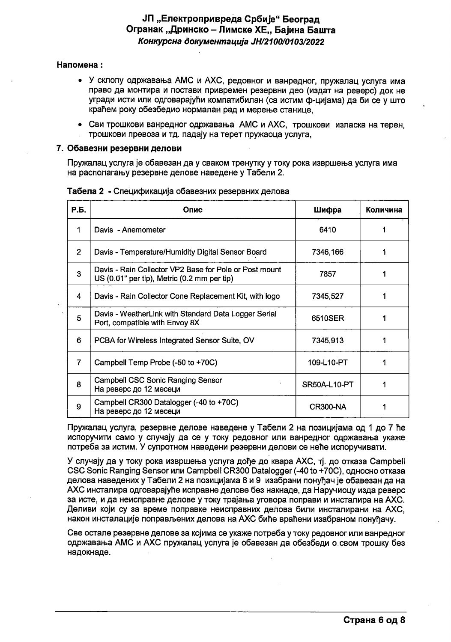### ЈП "Електропривреда Србије" Београд Огранак "Дринско – Лимске ХЕ" Бајина Башта Конкурсна документација ЈН/2100/0103/2022

#### Напомена:

- У склопу одржавања АМС и АХС, редовног и ванредног, пружалац услуга има право да монтира и постави привремен резервни део (издат на реверс) док не угради исти или одговарајући компатибилан (са истим ф-цијама) да би се у што краћем року обезбедио нормалан рад и мерење станице.
- Сви трошкови ванредног одржавања АМС и АХС, трошкови изласка на терен, трошкови превоза и тд. падају на терет пружаоца услуга,

#### 7. Обавезни резервни делови

Пружалац услуга је обавезан да у сваком тренутку у току рока извршења услуга има на располагању резервне делове наведене у Табели 2.

| Р.Б.           | Опис                                                                                                  | Шифра           | Количина |
|----------------|-------------------------------------------------------------------------------------------------------|-----------------|----------|
|                | Davis - Anemometer                                                                                    | 6410            |          |
| $\overline{2}$ | Davis - Temperature/Humidity Digital Sensor Board                                                     | 7346,166        |          |
| 3              | Davis - Rain Collector VP2 Base for Pole or Post mount<br>US (0.01" per tip), Metric (0.2 mm per tip) | 7857            |          |
| 4              | Davis - Rain Collector Cone Replacement Kit, with logo                                                | 7345,527        |          |
| 5              | Davis - WeatherLink with Standard Data Logger Serial<br>Port, compatible with Envoy 8X                | 6510SER         |          |
| 6              | PCBA for Wireless Integrated Sensor Suite, OV                                                         | 7345,913        |          |
| $\overline{7}$ | Campbell Temp Probe (-50 to +70C)                                                                     | 109-L10-PT      |          |
| 8              | <b>Campbell CSC Sonic Ranging Sensor</b><br>На реверс до 12 месеци                                    | SR50A-L10-PT    |          |
| 9              | Campbell CR300 Datalogger (-40 to +70C)<br>На реверс до 12 месеци                                     | <b>CR300-NA</b> |          |

Табела 2 - Спецификација обавезних резервних делова

Пружалац услуга, резервне делове наведене у Табели 2 на позицијама од 1 до 7 ће испоручити само у случају да се у току редовног или ванредног одржавања укаже потреба за истим. У супротном наведени резервни делови се неће испоручивати.

У случају да у току рока извршења услуга дође до квара АХС, тј. до отказа Campbell CSC Sonic Ranging Sensor или Campbell CR300 Datalogger (-40 to +70С), односно отказа делова наведених у Табели 2 на позицијама 8 и 9 изабрани понуђач је обавезан да на АХС инсталира одговарајуће исправне делове без накнаде, да Наручиоцу изда реверс за исте, и да неисправне делове у току трајања уговора поправи и инсталира на АХС. Деливи који су за време поправке неисправних делова били инсталирани на АХС, након инсталације поправљених делова на АХС биће враћени изабраном понуђачу.

Све остале резервне делове за којима се укаже потреба у току редовног или ванредног одржавања AMC и AXC пружалац услуга је обавезан да обезбеди о свом трошку без надокнаде.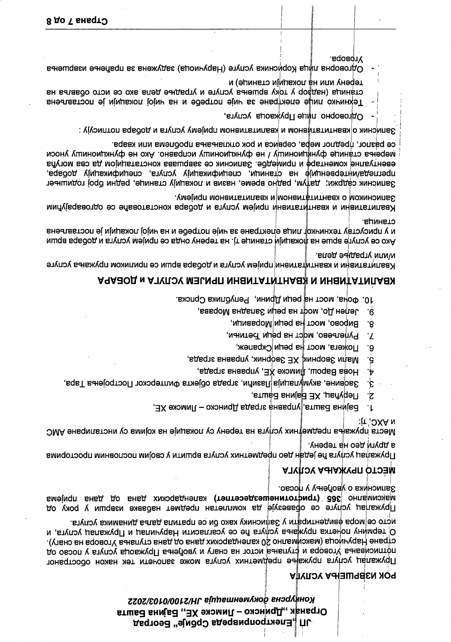## Конфурсна фокументација ЈН/2100/0103/2022 Огранак "Дринско – Лимске ХЕ" Бајина Башта JII "Електропривреда Србије" Београд

### **POK ИЗВРШЕЊА УСЛУГА**

исто се∣мора евидентирати у Записнику како ои се пратила даља динамика услуга. О термину почетка пружања усиуга ће се усагласити Наручилац и Пружалац услуга, и стране Наручиоца (максимално 20 календарских дана од дана ступања Уговора на снагу). потписивања Уговора и фтупања истог на снагу и увођења Пружаоца услуга у посао од Пружалац услуга пружање предметних услуга може започети тек након обостраног

Записника о уворењу у посао. максимално 365 (трифтотинешездесетпет) календарских дана од дана пријема Пружалац услуге се обавезује да комплетан предмет набавке изврши у року од

### **ATKIO TIPYAKAHA YCIJYLA**

а други део на терену. Пружалац услуга ће један део предметних услуга вршити у својим пословним просторима

и УХС, тј: Места пружања предмејних услуга на терену су локације на којима су инсталиране АМС

- Бајина Башта,∥управна зграда Дринско Лимске ХЕ,  $\cdot$
- Перућац, XЕ Вајина Башта, خ:
- Заовине, акумулација Лазићи, зграда објекта Филтерског Постројења Тара, ع.
- Нова Варош, ¶имске  $\chi$ Е, управна зграда, ۰Ļ
- Мали Зворник, ХЕ Зворник, управна зграда, غ.
- Пожега, мост на реци Скрапеж, ۰б.
- Pynerbebo, Mocr на реци heтињи,  $\mathbf{Z}$
- **RNDOBO' MOCL HS DENN MODSBNNN'** ۰β.
- Jenen Ho, modr на реци Западна Морава, . 6
- 10. Фоча, мост на реци Дрини, Република Српска.

## A AA AO TIMBAH A KERAHIT AT AHAH AT ALAH ALAH ALAH ALAH AGERAPA

и/или уградње дела. Квалитативни и квантијтативни пријем услуга и добара врши се приликом пружања услуге

станица. и у присуству техничкој лица електране за чије потребе и на чијој локацији је постављена Ако се услуге врше на фокацији станице тј. на терену онда се пријем услуга и добара врши

Записником о квантитативном и квалитативном пријему. Квалитативни и квантитативни пријем услуга и добара констатоваће се одговарајућим

мэорења станице фунфионишу / не функционишу исправно. Ако не функционишу уноси евентуалне коментаре и примедбе. Записник се завршава констатацијом да сва могућа прегледа/интервенције на станици, спецификацију услуга, спецификацију добара, Записник садржи; да†ум, радно време, назив и локацију станице, редни број годишњег

се разлог, предлог мера, сервиса и рок отклањања проблема или квара.

Записинк о∣квантитатином и квалитативном пријему услуга и добара потписују :

- Одговорно лице Пружаоца услуга,
- терену или на покацији станице) и CTAHNLLA (HALAGO y TOKy BPLUELEA YCTYTE N YTPAALLE AETIA AKO CE NCTO OO ABLA HA Техничко лице електране за чије потребе и на чијој локацији је постављена
- **Vrosopa**. Одговорна лица Корисника услуге (Наручиоца) задужена за праћење извршења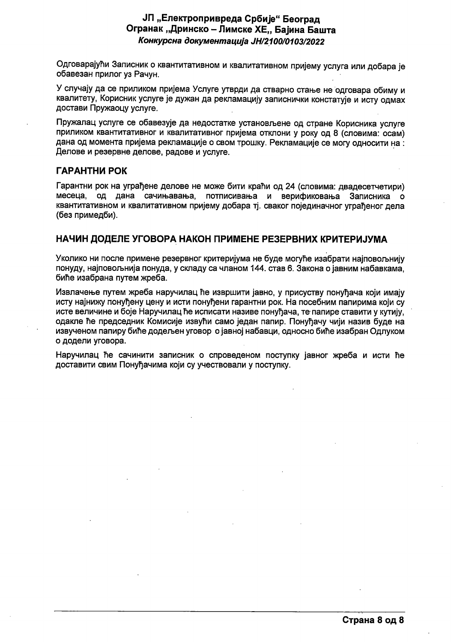### ЈП "Електропривреда Србије" Београд Огранак "Дринско – Лимске ХЕ., Бајина Башта Конкурсна документација ЈН/2100/0103/2022

Одговарајући Записник о квантитативном и квалитативном пријему услуга или добара је обавезан прилог уз Рачун.

У случају да се приликом пријема Услуге утврди да стварно стање не одговара обиму и квалитету, Корисник услуге је дужан да рекламацију записнички констатује и исту одмах достави Пружаоцу услуге.

Пружалац услуге се обавезује да недостатке установљене од стране Корисника услуге приликом квантитативног и квалитативног пријема отклони у року од 8 (словима: осам) дана од момента пријема рекламације о свом трошку. Рекламације се могу односити на : Делове и резервне делове, радове и услуге.

### ГАРАНТНИ РОК

Гарантни рок на уграђене делове не може бити краћи од 24 (словима: двадесетчетири) месеца, од дана сачињавања, потписивања и верификовања Записника о квантитативном и квалитативном пријему добара тј. сваког појединачног уграђеног дела (без примедби).

### НАЧИН ДОДЕЛЕ УГОВОРА НАКОН ПРИМЕНЕ РЕЗЕРВНИХ КРИТЕРИЈУМА

Уколико ни после примене резервног критеријума не буде могуће изабрати најповољнију понуду, најповољнија понуда, у складу са чланом 144. став 6. Закона о јавним набавкама, биће изабрана путем жреба.

Извлачење путем жреба наручилац ће извршити јавно, у присуству понуђача који имају исту најнижу понућену цену и исти понућени гарантни рок. На посебним папирима који су исте величине и боје Наручилац ће исписати називе понуђача, те папире ставити у кутију, одакле ће председник Комисије извући само један папир. Понућачу чији назив буде на извученом папиру биће додељен уговор о јавној набавци, односно биће изабран Одлуком о додели уговора.

Наручилац ће сачинити записник о спроведеном поступку јавног жреба и исти ће доставити свим Понуђачима који су учествовали у поступку.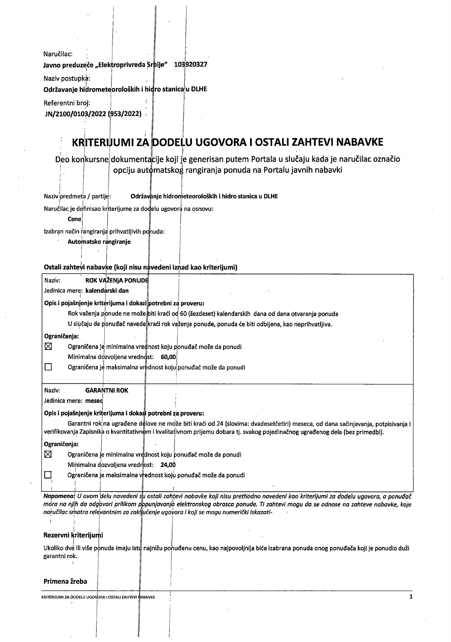Naručilac: Javno preduzeće "Elektroprivreda Srbije" 103920327

Naziv postupka:

Održavanje hidrometeoroloških i hidro stanica u DLHE

```
Referentni broj:
```
<sup>J</sup> N/2100/0103/2022 (953/2022)

# KRITERIJUMI ZA DODELU UGOVORA I OSTALI ZAHTEVI NABAVKE

Deo konkursne dokumentacije koji je generisan putem Portala u slučaju kada je naručilac označio opciju aut¢matskog rangiranja ponuda na Portalu javnih nabavki

| Održavanje hidrometeoroloških i hidro stanica u DLHE<br>Nazivipredmeta / partije:                                               |
|---------------------------------------------------------------------------------------------------------------------------------|
| Naručilac je definisao kriterijume za dodelu ugovora na osnovu:                                                                 |
| Cene                                                                                                                            |
| Izabran način rangiranja prihvatljivih ponuda:                                                                                  |
| Automatsko rangiranje                                                                                                           |
|                                                                                                                                 |
| Ostali zahtevi nabavke (koji nisu navedeni iznad kao kriterijumi)                                                               |
|                                                                                                                                 |
| ROK VAŽENJA PONUDE<br>Naziv:                                                                                                    |
| Jedinica mere: kalendarski dan                                                                                                  |
| Opis i pojašnjenje kriterijuma i dokazi potrebni za proveru:                                                                    |
| Rok važenja ponude ne može biti kraći od 60 (šezdeset) kalendarskih dana od dana otvaranja ponuda                               |
| U slučaju da ponuđač navede kraći rok važenja ponude, ponuda će biti odbijena, kao neprihvatljiva.                              |
| Ograničenja:                                                                                                                    |
| ⊠<br>Ograničena je minimalna vrednost koju ponuđač može da ponudi                                                               |
| Minimalna dozvoljena vrednost: 60,00                                                                                            |
| Ograničena je maksimalna vrednost koju ponuđač može da ponudi<br>$\Box$                                                         |
|                                                                                                                                 |
| <b>GARANTNI ROK</b><br>Naziv:                                                                                                   |
| Jedinica mere: mesec                                                                                                            |
| Opis i pojašnjenje kriterijuma i dokazi potrebni za proveru:                                                                    |
| Garantni rok na ugrađene delove ne može biti kraći od 24 (slovima: dvadesetčetiri) meseca, od dana sačinjavanja, potpisivanja i |
| verifikovanja Zapisnika o kvantitativnom i kvalitativnom prijemu dobara tj. svakog pojedinačnog ugrađenog dela (bez primedbi).  |
| Ograničenja:                                                                                                                    |
| ⊠<br>Ograničena je minimalna vrednost koju ponuđač može da ponudi                                                               |
| Minimalna dozvoljena vrednost: 24,00                                                                                            |
| Ograničena je maksimalna vrednost koju ponuđač može da ponudi                                                                   |
|                                                                                                                                 |

Napomena: U ovom delu navedeni s<mark>u ostali zahtevi nabavke koji nisu prethodno navedeni kao kriterijumi za dodelu ugovora, a ponuđač<br>.</mark> mora na njih da odgovori prilikom p<mark>opunjavanja elektronskog obrasca ponude. Ti zahtevi mogu da se odnose na zahteve nabavke, koje</mark> naručilac smatra relevantnim za zaključenje ugovora i koji se mogu numerički iskazati-

 $\cdots$ 

#### Rezervni kriterijumi

1 <sup>1</sup>

Ukoliko dve ili više ponuda imaju istu najnižu ponuđenu cenu, kao najpovoljnija biće izabrana ponuda onog ponuđača koji je ponudio duži garantni rok.

#### Primena žreba

KRITERIJUMI ZA DODELU UGOVORA I OSTALI ZAHTEVI MABAVKE 1999. U STALI ZAHTERIJUMI ZA USTALI ZAHTEVI ABAVKE 1999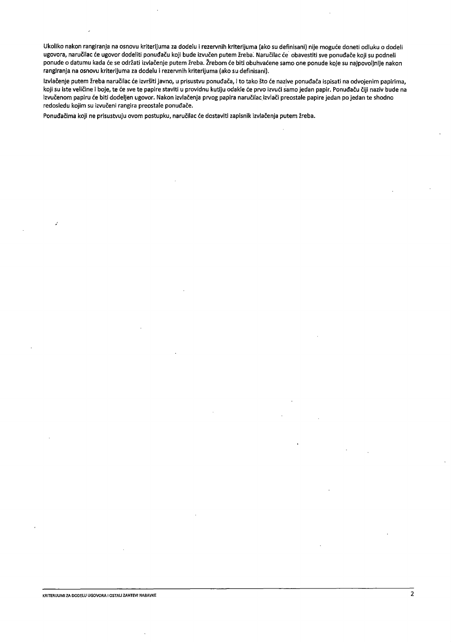Ukoliko nakon rangiranja na osnovu kriterijuma za dodelu i rezervnih kriterijuma (ako su definisani) nije moguće doneti odluku o dodeli ugovora, naručilac će ugovor dodeliti ponuđaču koji bude izvučen putem žreba. Naručilac će obavestiti sve ponuđače koji su podneli ponude o datumu kada će se održati izvlačenje putem žreba. Žrebom će biti obuhvaćene samo one ponude koje su najpovoljnije nakon rangiranja na osnovu kriterijuma za dodelu i rezervnih kriterijuma (ako su definisani).

lzvlačenje putem žreba naručilac će izvršiti javno, u prisustvu ponuđača, i to tako što će nazive ponuđača ispisati na odvojenim papirima, koji su iste veličine i boje, te će sve te papire staviti u providnu kutiju odakle će prvo izvući samo jedan papir. Ponuđaču čiji naziv bude na izvučenom papiru će biti dodeljen ugovor. Nakon izvlačenja prvog papira naručilac izvlači preostale papire jedan po jedan te shodno redosledu kojim su izvučeni rangira preostale ponuđače.

Ponuđačima koji ne prisustvuju ovom postupku, naručilac će dostaviti zapisnik izvlačenja putem žreba.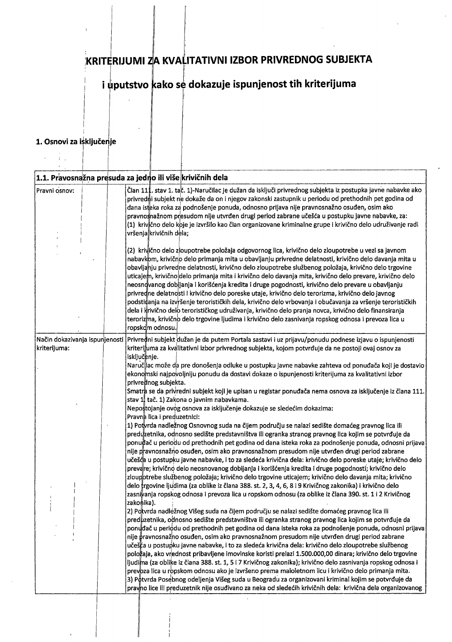# KRITERIJUMI ZA KVALITATIVNI IZBOR PRIVREDNOG SUBJEKTA

## i uputstvo kako se dokazuje ispunjenost tih kriterijuma

#### 1. Osnovi za isključenje

 $\mathcal{A}=\frac{1}{4}\mathcal{A}$ 

 $\mathcal{L}$ 

|               | $ {\bf 1.1}.$ Pravosnažna presuda za jedno ili više $ $ krivičnih dela                                                                                                                                                                                                                                                                                                                                                                                                                                                                                                                                                                                                                                                                                                                                                                                                                                                                                                                                                                                                                                                                                                                                                                                                                                                                                                                                                                                                                                                                                                                                                                                                                                                                                                                                                                                                                                                                                                                                                                                                                    |
|---------------|-------------------------------------------------------------------------------------------------------------------------------------------------------------------------------------------------------------------------------------------------------------------------------------------------------------------------------------------------------------------------------------------------------------------------------------------------------------------------------------------------------------------------------------------------------------------------------------------------------------------------------------------------------------------------------------------------------------------------------------------------------------------------------------------------------------------------------------------------------------------------------------------------------------------------------------------------------------------------------------------------------------------------------------------------------------------------------------------------------------------------------------------------------------------------------------------------------------------------------------------------------------------------------------------------------------------------------------------------------------------------------------------------------------------------------------------------------------------------------------------------------------------------------------------------------------------------------------------------------------------------------------------------------------------------------------------------------------------------------------------------------------------------------------------------------------------------------------------------------------------------------------------------------------------------------------------------------------------------------------------------------------------------------------------------------------------------------------------|
| Pravni osnov: | Član 11‡. stav 1. tač. 1)-Naručilac je dužan da isključi privrednog subjekta iz postupka javne nabavke ako<br>privredni subjekt ne dokaže da on i njegov zakonski zastupnik u periodu od prethodnih pet godina od<br>dana isteka roka za podnošenje ponuda, odnosno prijava nije pravnosnažno osuđen, osim ako<br>pravnosnažnom presudom nije utvrđen drugi period zabrane učešća u postupku javne nabavke, za:<br>(1) krivično delo koje je izvršilo kao član organizovane kriminalne grupe i krivično delo udruživanje radi<br>vršenja krivičnih dela;                                                                                                                                                                                                                                                                                                                                                                                                                                                                                                                                                                                                                                                                                                                                                                                                                                                                                                                                                                                                                                                                                                                                                                                                                                                                                                                                                                                                                                                                                                                                  |
|               | (2) krivično delo zloupotrebe položaja odgovornog lica, krivično delo zloupotrebe u vezi sa javnom<br>nabavkom, krivično delo primanja mita u obavljanju privredne delatnosti, krivično delo davanja mita u<br>obavljanju privredne delatnosti, krivično delo zloupotrebe službenog položaja, krivično delo trgovine<br>uticajem, krivično delo primanja mita i krivično delo davanja mita, krivično delo prevare, krivično delo<br>neosnovanog dobijanja i korišćenja kredita i druge pogodnosti, krivično delo prevare u obavljanju<br>privredne delatnosti i krivično delo poreske utaje, krivično delo terorizma, krivično delo javnog<br>podstidanja na izvršenje terorističkih dela, krivično delo vrbovanja i obučavanja za vršenje terorističkih<br>dela i krivično delo terorističkog udruživanja, krivično delo pranja novca, krivično delo finansiranja<br>terorizma, krivično delo trgovine ljudima i krivično delo zasnivanja ropskog odnosa i prevoza lica u<br>ropskom odnosu.                                                                                                                                                                                                                                                                                                                                                                                                                                                                                                                                                                                                                                                                                                                                                                                                                                                                                                                                                                                                                                                                                             |
| kriterijuma:  | Način dokazivanja ispunjenosti <i>Privredni subjekt dužan je da putem Portala sastavi i uz prijavu/ponudu podnese izjavu o ispunjenosti</i><br>kriterijuma za kvalitativni izbor privrednog subjekta, kojom potvrđuje da ne postoji ovaj osnov za<br>isključenje.<br>Naruč¦lac može da pre donošenja odluke u postupku javne nabavke zahteva od ponuđača koji je dostavio<br>ekonomski najpovoljniju ponudu da dostavi dokaze o ispunjenosti kriterijuma za kvalitativni izbor<br>privrednog subjekta.<br>Smatra se da privredni subjekt koji je upisan u registar ponuđača nema osnova za isključenje iz člana 111.<br>stav 1 tač. 1) Zakona o javnim nabavkama.<br>Nepostojanje ovog osnova za isključenje dokazuje se sledećim dokazima:                                                                                                                                                                                                                                                                                                                                                                                                                                                                                                                                                                                                                                                                                                                                                                                                                                                                                                                                                                                                                                                                                                                                                                                                                                                                                                                                               |
|               | Pravna lica i preduzetnici:<br>1) Potvrda nadležnog Osnovnog suda na čijem području se nalazi sedište domaćeg pravnog lica ili<br>preduzetnika, odnosno sedište predstavništva ili ogranka stranog pravnog lica kojim se potvrđuje da<br>ponuĝač u periodu od prethodnih pet godina od dana isteka roka za podnošenje ponuda, odnosni prijava<br>nije p∤avnosnažno osuđen, osim ako pravnosnažnom presudom nije utvrđen drugi period zabrane<br>učešća u postupku javne nabavke, i to za sledeća krivična dela: krivično delo poreske utaje; krivično delo<br>prevare; krivično delo neosnovanog dobijanja i korišćenja kredita i druge pogodnosti; krivično delo<br>zloupotrebe službenog položaja; krivično delo trgovine uticajem; krivično delo davanja mita; krivično<br>delo trgovine ljudima (za oblike iz člana 388. st. 2, 3, 4, 6, 8 i 9 Krivičnog zakonika) i krivično delo<br>zasnivanja ropskog odnosa i prevoza lica u ropskom odnosu (za oblike iz člana 390. st. 1 i 2 Krivičnog<br>zakonika).<br>2) Potvrda nadležnog Višeg suda na čijem području se nalazi sedište domaćeg pravnog lica ili<br>preduzetnika, odnosno sedište predstavništva ili ogranka stranog pravnog lica kojim se potvrđuje da<br>ponudač u periodu od prethodnih pet godina od dana isteka roka za podnošenje ponuda, odnosni prijava<br>nije pravnosnažno osuđen, osim ako pravnosnažnom presudom nije utvrđen drugi period zabrane<br>učeš‡a u postupku javne nabavke, i to za sledeća krivična dela: krivično delo zloupotrebe službenog<br>položaja, ako vrednost pribavljene imovinske koristi prelazi 1.500.000,00 dinara; krivično delo trgovine<br>ljudima (za oblike iz člana 388. st. 1, 5 i 7 Krivičnog zakonika); krivično delo zasnivanja ropskog odnosa i<br>prevoza lica u ropskom odnosu ako je izvršeno prema maloletnom licu i krivično delo primanja mita.<br>3) Potvrda Posebnog odeljenja Višeg suda u Beogradu za organizovani kriminal kojim se potvrđuje da<br>pravno lice ili preduzetnik nije osuđivano za neka od sledećih krivičnih dela: krivična dela organizovanog |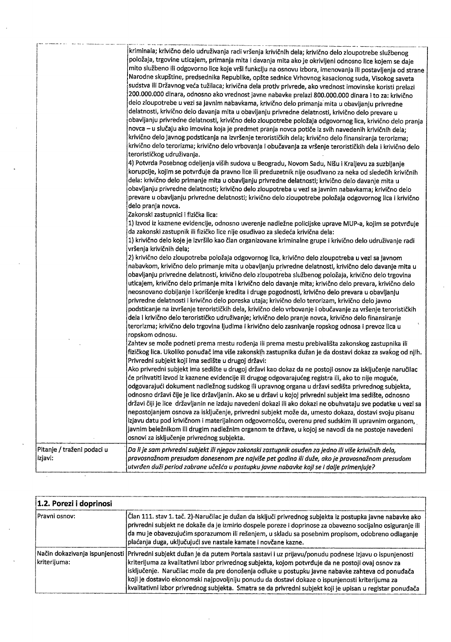|                                       | kriminala; krivično delo udruživanja radi vršenja krivičnih dela; krivično delo zloupotrebe službenog<br>položaja, trgovine uticajem, primanja mita i davanja mita ako je okrivljeni odnosno lice kojem se daje<br>mito službeno ili odgovorno lice koje vrši funkciju na osnovu izbora, imenovanja ili postavljenja od strane<br>Narodne skupštine, predsednika Republike, opšte sednice Vrhovnog kasacionog suda, Visokog saveta<br>sudstva ili Državnog veća tužilaca; krivična dela protiv privrede, ako vrednost imovinske koristi prelazi<br>200.000.000 dinara, odnosno ako vrednost javne nabavke prelazi 800.000.000 dinara i to za: krivično<br>delo zloupotrebe u vezi sa javnim nabavkama, krivično delo primanja mita u obavljanju privredne<br>delatnosti, krivično delo davanja mita u obavljanju privredne delatnosti, krivično delo prevare u<br>obavljanju privredne delatnosti, krivično delo zloupotrebe položaja odgovornog lica, krivično delo pranja<br>novca – u slučaju ako imovina koja je predmet pranja novca potiče iz svih navedenih krivičnih dela;<br>krivično delo javnog podsticanja na izvršenje terorističkih dela; krivično delo finansiranja terorizma;<br>krivično delo terorizma; krivično delo vrbovanja i obučavanja za vršenje terorističkih dela i krivično delo<br>terorističkog udruživanja.<br>4) Potvrda Posebnog odeljenja viših sudova u Beogradu, Novom Sadu, Nišu i Kraljevu za suzbijanje<br>korupcije, kojim se potvrđuje da pravno lice ili preduzetnik nije osuđivano za neka od sledećih krivičnih<br>dela: krivično delo primanje mita u obavljanju privredne delatnosti; krivično delo davanje mita u<br>obavljanju privredne delatnosti; krivično delo zloupotreba u vezi sa javnim nabavkama; krivično delo<br>prevare u obavljanju privredne delatnosti; krivično delo zloupotrebe položaja odgovornog lica i krivično<br>delo pranja novca.<br>Zakonski zastupnici i fizička lica: |
|---------------------------------------|---------------------------------------------------------------------------------------------------------------------------------------------------------------------------------------------------------------------------------------------------------------------------------------------------------------------------------------------------------------------------------------------------------------------------------------------------------------------------------------------------------------------------------------------------------------------------------------------------------------------------------------------------------------------------------------------------------------------------------------------------------------------------------------------------------------------------------------------------------------------------------------------------------------------------------------------------------------------------------------------------------------------------------------------------------------------------------------------------------------------------------------------------------------------------------------------------------------------------------------------------------------------------------------------------------------------------------------------------------------------------------------------------------------------------------------------------------------------------------------------------------------------------------------------------------------------------------------------------------------------------------------------------------------------------------------------------------------------------------------------------------------------------------------------------------------------------------------------------------------------------------------------------------------------------------------------------|
|                                       | 1) Izvod iz kaznene evidencije, odnosno uverenje nadležne policijske uprave MUP-a, kojim se potvrđuje<br>da zakonski zastupnik ili fizičko lice nije osuđivao za sledeća krivična dela:<br>1) krivično delo koje je izvršilo kao član organizovane kriminalne grupe i krivično delo udruživanje radi<br>vršenja krivičnih dela;<br>2) krivično delo zloupotreba položaja odgovornog lica, krivično delo zloupotreba u vezi sa javnom<br>nabavkom, krivično delo primanje mita u obavljanju privredne delatnosti, krivično delo davanje mita u<br>obavljanju privredne delatnosti, krivično delo zloupotreba službenog položaja, krivično delo trgovina<br>uticajem, krivično delo primanje mita i krivično delo davanje mita; krivično delo prevara, krivično delo                                                                                                                                                                                                                                                                                                                                                                                                                                                                                                                                                                                                                                                                                                                                                                                                                                                                                                                                                                                                                                                                                                                                                                                |
|                                       | neosnovano dobijanje i korišćenje kredita i druge pogodnosti, krivično delo prevara u obavljanju<br>privredne delatnosti i krivično delo poreska utaja; krivično delo terorizam, krivično delo javno<br>podsticanje na izvršenje terorističkih dela, krivično delo vrbovanje i obučavanje za vršenje terorističkih<br>dela i krivično delo terorističko udruživanje; krivično delo pranje novca, krivično delo finansiranje<br>terorizma; krivično delo trgovina ljudima i krivično delo zasnivanje ropskog odnosa i prevoz lica u<br>ropskom odnosu.<br>Zahtev se može podneti prema mestu rođenja ili prema mestu prebivališta zakonskog zastupnika ili<br>fizičkog lica. Ukoliko ponuđač ima više zakonskih zastupnika dužan je da dostavi dokaz za svakog od njih.                                                                                                                                                                                                                                                                                                                                                                                                                                                                                                                                                                                                                                                                                                                                                                                                                                                                                                                                                                                                                                                                                                                                                                            |
|                                       | Privredni subjekt koji ima sedište u drugoj državi:<br>Ako privredni subjekt ima sedište u drugoj državi kao dokaz da ne postoji osnov za isključenje naručilac<br>će prihvatiti izvod iz kaznene evidencije ili drugog odgovarajućeg registra ili, ako to nije moguće,<br>odgovarajući dokument nadležnog sudskog ili upravnog organa u državi sedišta privrednog subjekta,<br>odnosno državi čije je lice državljanin. Ako se u državi u kojoj privredni subjekt ima sedište, odnosno<br>državi čiji je lice državljanin ne izdaju navedeni dokazi ili ako dokazi ne obuhvataju sve podatke u vezi sa<br>nepostojanjem osnova za isključenje, privredni subjekt može da, umesto dokaza, dostavi svoju pisanu<br>izjavu datu pod krivičnom i materijalnom odgovornošću, overenu pred sudskim ili upravnim organom,<br>javnim beležnikom ili drugim nadležnim organom te države, u kojoj se navodi da ne postoje navedeni<br>osnovi za isključenje privrednog subjekta.                                                                                                                                                                                                                                                                                                                                                                                                                                                                                                                                                                                                                                                                                                                                                                                                                                                                                                                                                                           |
| Pitanje / traženi podaci u<br>izjavi: | Da li je sam privredni subjekt ili njegov zakonski zastupnik osuđen za jedno ili više krivičnih dela,<br>pravosnažnom presudom donesenom pre najviše pet godina ili duže, ako je pravosnažnom presudom<br>utvrđen duži period zabrane učešća u postupku javne nabavke koji se i dalje primenjuje?                                                                                                                                                                                                                                                                                                                                                                                                                                                                                                                                                                                                                                                                                                                                                                                                                                                                                                                                                                                                                                                                                                                                                                                                                                                                                                                                                                                                                                                                                                                                                                                                                                                 |

 $\hat{\boldsymbol{\beta}}$ 

 $\mathbb{R}^2$ 

 $\hat{\mathcal{S}}$ 

 $\mathcal{L}_{\text{max}}$ 

 $\sim$ 

| 1.2. Porezi i doprinosi |                                                                                                                                                                                                                                                                                                                                                                                                                                                                                                                                                                  |  |  |  |  |  |
|-------------------------|------------------------------------------------------------------------------------------------------------------------------------------------------------------------------------------------------------------------------------------------------------------------------------------------------------------------------------------------------------------------------------------------------------------------------------------------------------------------------------------------------------------------------------------------------------------|--|--|--|--|--|
| Pravni osnov:           | į̇́Član 111. stav 1. tač. 2)-Naručilac je dužan da isključi privrednog subjekta iz postupka javne nabavke ako<br>privredni subjekt ne dokaže da je izmirio dospele poreze i doprinose za obavezno socijalno osiguranje ili<br>da mu je obavezujućim sporazumom ili rešenjem, u skladu sa posebnim propisom, odobreno odlaganje<br>plaćanja duga, uključujući sve nastale kamate i novčane kazne.                                                                                                                                                                 |  |  |  |  |  |
| kriterijuma:            | Način dokazivanja ispunjenosti   Privredni subjekt dužan je da putem Portala sastavi i uz prijavu/ponudu podnese izjavu o ispunjenosti<br>kriterijuma za kvalitativni izbor privrednog subjekta, kojom potvrđuje da ne postoji ovaj osnov za<br>isključenje. Naručilac može da pre donošenja odluke u postupku javne nabavke zahteva od ponuđača<br>koji je dostavio ekonomski najpovoljniju ponudu da dostavi dokaze o ispunjenosti kriterijuma za<br>kvalitativni izbor privrednog subjekta. Smatra se da privredni subjekt koji je upisan u registar ponuđača |  |  |  |  |  |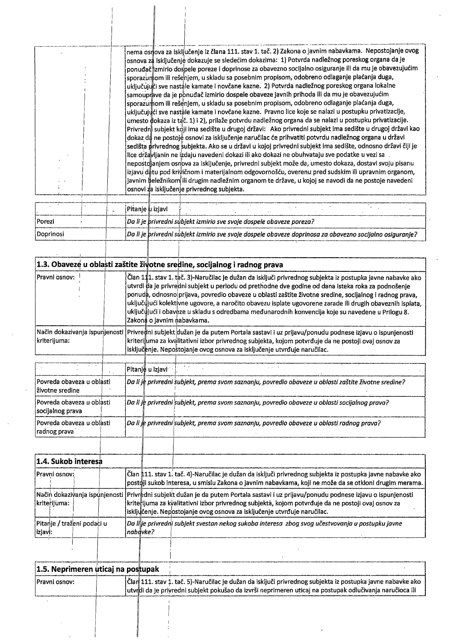|  | nema osr <mark>j</mark> ova za isključenje iz člana 111. stav 1. tač. 2) Zakona o javnim nabavkama.  Nepostojanje ovog<br>osnova za isključenje dokazuje se sledećim dokazima:  1) Potvrda nadležnog poreskog organa da je<br>ponuđač∥zmirio dospele poreze i doprinose za obavezno socijalno osiguranje ili da mu je obavezujućim'<br>sporazumom ili rešenjem, u skladu sa posebnim propisom, odobreno odlaganje plaćanja duga,<br>uključujući sve nastale kamate i novčane kazne.  2) Potvrda nadležnog poreskog organa lokalne<br>samouprave da je ponuđač izmirio dospele obaveze javnih prihoda ili da mu je obavezujućim<br>sporazumom ili rešenjem, u skladu sa posebnim propisom, odobreno odlaganje plaćanja duga,<br>uključujųci sve nastale kamate i novčane kazne. Pravno lice koje se nalazi u postupku privatizacije,<br>umesto dokaza iz tač. 1) i 2), prilaže potvrdu nadležnog organa da se nalazi u postupku privatizacije.<br>Privredni subjekt koji ima sedište u drugoj državi: Ako privredni subjekt ima sedište u drugoj državi kao<br>dokaz da ne postoje osnovi za isključenje naručilac će prihvatiti potvrdu nadležnog organa u državi<br>sedišta privrednog subjekta. Ako se u državi u kojoj privredni subjekt ima sedište, odnosno državi čiji je<br>lice državljanin ne izdaju navedeni dokazi ili ako dokazi ne obuhvataju sve podatke u vezi sa<br>nepostojanjem osnova za isključenje, privredni subjekt može da, umesto dokaza, dostavi svoju pisanu<br>izjavu datu pod krivičnom i materijalnom odgovornošću, overenu pred sudskim ili upravnim organom,<br>javnim beležnikom ili drugim nadležnim organom te države, u kojoj se navodi da ne postoje navedeni<br>osnovi za isključenje privrednog subjekta. |
|--|--------------------------------------------------------------------------------------------------------------------------------------------------------------------------------------------------------------------------------------------------------------------------------------------------------------------------------------------------------------------------------------------------------------------------------------------------------------------------------------------------------------------------------------------------------------------------------------------------------------------------------------------------------------------------------------------------------------------------------------------------------------------------------------------------------------------------------------------------------------------------------------------------------------------------------------------------------------------------------------------------------------------------------------------------------------------------------------------------------------------------------------------------------------------------------------------------------------------------------------------------------------------------------------------------------------------------------------------------------------------------------------------------------------------------------------------------------------------------------------------------------------------------------------------------------------------------------------------------------------------------------------------------------------------------------------------------------------------------------------------------|
|  |                                                                                                                                                                                                                                                                                                                                                                                                                                                                                                                                                                                                                                                                                                                                                                                                                                                                                                                                                                                                                                                                                                                                                                                                                                                                                                                                                                                                                                                                                                                                                                                                                                                                                                                                                  |

|                         |  | Pitanie u iziavi |                                                                      |  |  |                                                                                                          |  |  |
|-------------------------|--|------------------|----------------------------------------------------------------------|--|--|----------------------------------------------------------------------------------------------------------|--|--|
| <i>Porezi</i>           |  |                  | Da li je privredni subjekt izmirio sve svoje dospele obaveze poreza? |  |  |                                                                                                          |  |  |
| <i><b>Doprinosi</b></i> |  |                  |                                                                      |  |  | Da li je privredni subjekt izmirio sve svoje dospele obaveze doprinosa za obavezno socijalno osiguranje? |  |  |
|                         |  |                  |                                                                      |  |  |                                                                                                          |  |  |

|                                               |  | $\vert$ 1.3. Obaveze u oblasti zaštite životne sredine, socijalnog i radnog prava                                                                                                                                                                                                                                                                                                                                                                                                                                                                                           |
|-----------------------------------------------|--|-----------------------------------------------------------------------------------------------------------------------------------------------------------------------------------------------------------------------------------------------------------------------------------------------------------------------------------------------------------------------------------------------------------------------------------------------------------------------------------------------------------------------------------------------------------------------------|
| Pravni osnov:                                 |  | Član 111. stav 1. tač. 3)-Naručilac je dužan da isključi privrednog subjekta iz postupka javne nabavke ako<br>utvrdi da je privredni subjekt u periodu od prethodne dve godine od dana isteka roka za podnošenje<br>ponuda, odnosno prijava, povredio obaveze u oblasti zaštite životne sredine, socijalnog i radnog prava,<br>uključiįjući kolektivne ugovore, a naročito obavezu isplate ugovorene zarade ili drugih obaveznih isplata,<br>uključujući i obaveze u skladu s odredbama međunarodnih konvencija koje su navedene u Prilogu 8.<br>Zakona o javnim nabavkama. |
| kriterijuma:                                  |  | Način dokazivanja ispunjenosti <i>[Privre@ni subjekt</i> dužan je da putem Portala sastavi i uz prijavu/ponudu podnese izjavu o ispunjenosti<br>kriterijuma za kvalitativni izbor privrednog subjekta, kojom potvrđuje da ne postoji ovaj osnov za<br>isključenje. Nepostojanje ovog osnova za isključenje utvrđuje naručilac.                                                                                                                                                                                                                                              |
|                                               |  | Pitanje u izjavi                                                                                                                                                                                                                                                                                                                                                                                                                                                                                                                                                            |
| Povreda obaveza u oblásti<br>životne sredine  |  | Da li je privredni subjekt, prema svom saznanju, povredio obaveze u oblasti zaštite životne sredine?                                                                                                                                                                                                                                                                                                                                                                                                                                                                        |
| Povreda obaveza u oblasti<br>socijalnog prava |  | Da li je privredni subjekt, prema svom saznanju, povredio obaveze u oblasti socijalnog prava?                                                                                                                                                                                                                                                                                                                                                                                                                                                                               |
| Povreda obaveza u oblasti<br>radnog prava     |  | Da li je privredni subjekt, prema svom saznanju, povredio obaveze u oblasti radnog prava?                                                                                                                                                                                                                                                                                                                                                                                                                                                                                   |

| Član å11. stav 1. tač. 4)-Naručilac je dužan da isključi privrednog subjekta iz postupka javne nabavke ako<br>Pravni osnov:<br>¦post¢ji sukob interesa, u smislu Zakona o javnim nabavkama, koji ne može da se otkloni drugim merama.<br>¦krite¦ijuma za kvalitativni izbor privrednog subjekta, kojom potvrđuje da ne postoji ovaj osnov za<br>isključenje. Nepostojanje ovog osnova za isključenje utvrđuje naručilac.<br>Da lilje privredni subjekt svestan nekog sukoba interesa  zbog svog učestvovanja u postupku javne | 1.4. Sukob interesa |          |  |
|-------------------------------------------------------------------------------------------------------------------------------------------------------------------------------------------------------------------------------------------------------------------------------------------------------------------------------------------------------------------------------------------------------------------------------------------------------------------------------------------------------------------------------|---------------------|----------|--|
| Način dokazivanja ispunjenosti  Privredni subjekt dužan je da putem Portala sastavi i uz prijavu/ponudu podnese izjavu o ispunjenosti<br>kriterijuma:<br>Pitanje / traženi podaci u                                                                                                                                                                                                                                                                                                                                           |                     |          |  |
|                                                                                                                                                                                                                                                                                                                                                                                                                                                                                                                               |                     |          |  |
|                                                                                                                                                                                                                                                                                                                                                                                                                                                                                                                               | izjavi:             | nabävke? |  |

| 1.5. Neprimeren uticaj na postupak |                                                                                                            |  |
|------------------------------------|------------------------------------------------------------------------------------------------------------|--|
| Pravni osnov:                      | Član 111. stav 1. tač. 5)-Naručilac je dužan da isključi privrednog subjekta iz postupka javne nabavke ako |  |
|                                    | Jutvrdi da je privredni subjekt pokušao da izvrši neprimeren uticaj na postupak odlučivanja naručioca ili  |  |